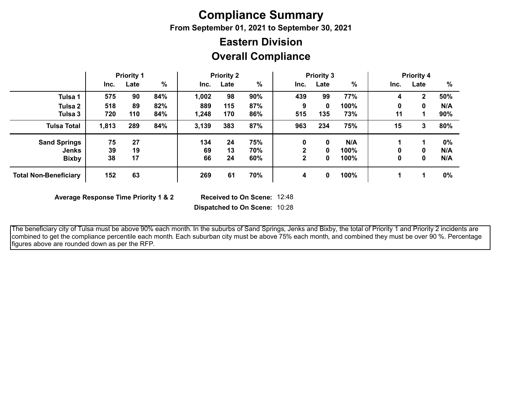## **Compliance Summary**

**From September 01, 2021 to September 30, 2021**

## **Overall Compliance Eastern Division**

|                              |       | <b>Priority 1</b> |     |       | <b>Priority 2</b> |      |              | <b>Priority 3</b> |      |      | <b>Priority 4</b> |      |
|------------------------------|-------|-------------------|-----|-------|-------------------|------|--------------|-------------------|------|------|-------------------|------|
|                              | Inc.  | Late              | %   | Inc.  | Late              | $\%$ | Inc.         | Late              | %    | Inc. | Late              | $\%$ |
| Tulsa 1                      | 575   | 90                | 84% | 1,002 | 98                | 90%  | 439          | 99                | 77%  | 4    | $\mathbf{2}$      | 50%  |
| Tulsa 2                      | 518   | 89                | 82% | 889   | 115               | 87%  | 9            | 0                 | 100% | 0    | 0                 | N/A  |
| Tulsa 3                      | 720   | 110               | 84% | 1,248 | 170               | 86%  | 515          | 135               | 73%  | 11   |                   | 90%  |
| <b>Tulsa Total</b>           | 1,813 | 289               | 84% | 3,139 | 383               | 87%  | 963          | 234               | 75%  | 15   | 3                 | 80%  |
| <b>Sand Springs</b>          | 75    | 27                |     | 134   | 24                | 75%  | 0            | 0                 | N/A  |      |                   | 0%   |
| <b>Jenks</b>                 | 39    | 19                |     | 69    | 13                | 70%  | ♪            | 0                 | 100% | 0    | 0                 | N/A  |
| <b>Bixby</b>                 | 38    | 17                |     | 66    | 24                | 60%  | $\mathbf{2}$ | 0                 | 100% | 0    | 0                 | N/A  |
| <b>Total Non-Beneficiary</b> | 152   | 63                |     | 269   | 61                | 70%  | 4            | $\bf{0}$          | 100% |      |                   | 0%   |

**Average Response Time Priority 1 & 2** 

Received to On Scene: 12:48

**Dispatched to On Scene:** 10:28

 The beneficiary city of Tulsa must be above 90% each month. In the suburbs of Sand Springs, Jenks and Bixby, the total of Priority 1 and Priority 2 incidents are combined to get the compliance percentile each month. Each suburban city must be above 75% each month, and combined they must be over 90 %. Percentage figures above are rounded down as per the RFP.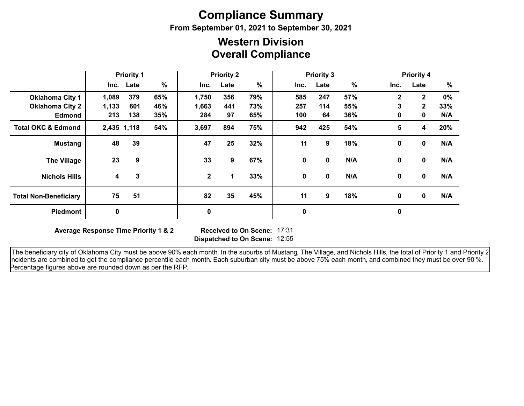# **Compliance Summary**

**From September 01, 2021 to September 30, 2021**

### **Overall Compliance Western Division**

|                               | <b>Priority 1</b> |             | <b>Priority 2</b> |              |      |      | <b>Priority 3</b> |             | <b>Priority 4</b> |              |              |       |
|-------------------------------|-------------------|-------------|-------------------|--------------|------|------|-------------------|-------------|-------------------|--------------|--------------|-------|
|                               |                   | Inc. Late   | $\%$              | Inc.         | Late | $\%$ | Inc.              | Late        | %                 | Inc.         | Late         | %     |
| <b>Oklahoma City 1</b>        | 1,089             | 379         | 65%               | 1,750        | 356  | 79%  | 585               | 247         | 57%               | $\mathbf{2}$ | $\mathbf{2}$ | $0\%$ |
| <b>Oklahoma City 2</b>        | 1,133             | 601         | 46%               | 1,663        | 441  | 73%  | 257               | 114         | 55%               | 3            | $\mathbf{2}$ | 33%   |
| <b>Edmond</b>                 | 213               | 138         | 35%               | 284          | 97   | 65%  | 100               | 64          | 36%               | 0            | $\mathbf 0$  | N/A   |
| <b>Total OKC &amp; Edmond</b> |                   | 2,435 1,118 | 54%               | 3,697        | 894  | 75%  | 942               | 425         | 54%               | 5            | 4            | 20%   |
| <b>Mustang</b>                | 48                | 39          |                   | 47           | 25   | 32%  | 11                | 9           | 18%               | 0            | 0            | N/A   |
| <b>The Village</b>            | 23                | 9           |                   | 33           | 9    | 67%  | 0                 | 0           | N/A               | 0            | 0            | N/A   |
| <b>Nichols Hills</b>          | 4                 | 3           |                   | $\mathbf{2}$ | 1    | 33%  | $\mathbf 0$       | $\mathbf 0$ | N/A               | 0            | $\mathbf 0$  | N/A   |
| <b>Total Non-Beneficiary</b>  | 75                | 51          |                   | 82           | 35   | 45%  | 11                | 9           | 18%               | 0            | $\mathbf 0$  | N/A   |
| <b>Piedmont</b>               | $\mathbf 0$       |             |                   | 0            |      |      | 0                 |             |                   | $\pmb{0}$    |              |       |

**Average Response Time Priority 1 & 2** 

**Dispatched to On Scene:** 12:55 17:31

The beneficiary city of Oklahoma City must be above 90% each month. In the suburbs of Mustang, The Village, and Nichols Hills, the total of Priority 1 and Priority 2 incidents are combined to get the compliance percentile each month. Each suburban city must be above 75% each month, and combined they must be over 90 %. Percentage figures above are rounded down as per the RFP.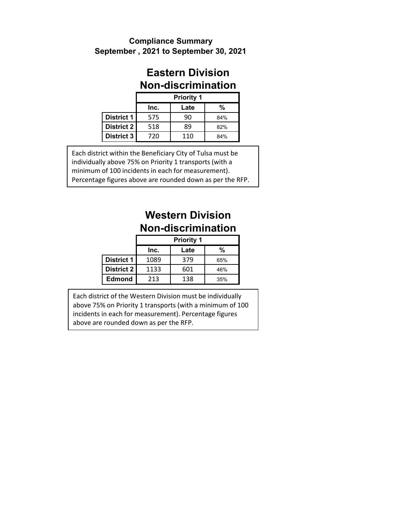### **September , 2021 to September 30, 2021 Compliance Summary**

### **Eastern Division Non-discrimination**

|                   | <b>Priority 1</b> |      |     |  |  |  |  |  |  |  |
|-------------------|-------------------|------|-----|--|--|--|--|--|--|--|
|                   | Inc.              | Late | %   |  |  |  |  |  |  |  |
| <b>District 1</b> | 575               | 90   | 84% |  |  |  |  |  |  |  |
| District 2        | 518               | 89   | 82% |  |  |  |  |  |  |  |
| <b>District 3</b> | 720               | 110  | 84% |  |  |  |  |  |  |  |

Each district within the Beneficiary City of Tulsa must be individually above 75% on Priority 1 transports (with a minimum of 100 incidents in each for measurement). Percentage figures above are rounded down as per the RFP.

## **Western Division Non-discrimination**

|                   | <b>Priority 1</b> |      |     |  |  |  |  |  |  |  |
|-------------------|-------------------|------|-----|--|--|--|--|--|--|--|
|                   | Inc.              | Late | %   |  |  |  |  |  |  |  |
| <b>District 1</b> | 1089              | 379  | 65% |  |  |  |  |  |  |  |
| District 2        | 1133              | 601  | 46% |  |  |  |  |  |  |  |
| <b>Edmond</b>     | 213               | 138  | 35% |  |  |  |  |  |  |  |

Each district of the Western Division must be individually above 75% on Priority 1 transports (with a minimum of 100 incidents in each for measurement). Percentage figures above are rounded down as per the RFP.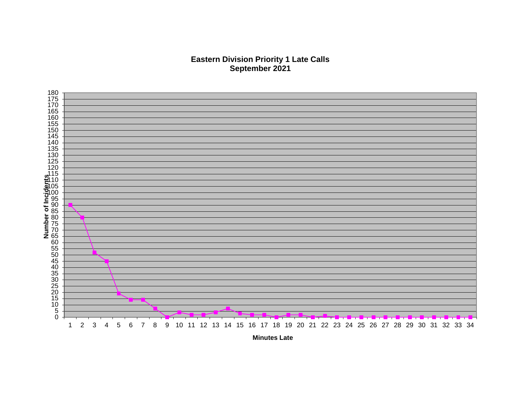#### **Eastern Division Priority 1 Late Calls September 2021**



**Minutes Late**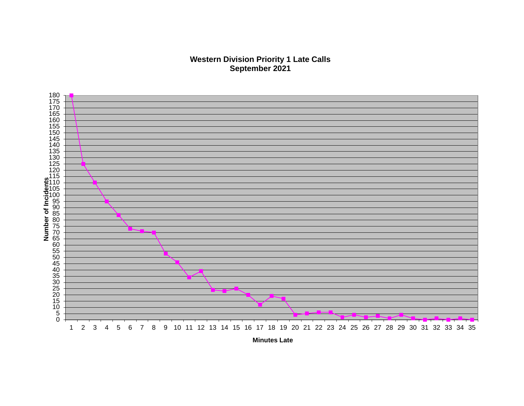#### **Western Division Priority 1 Late Calls September 2021**



**Minutes Late**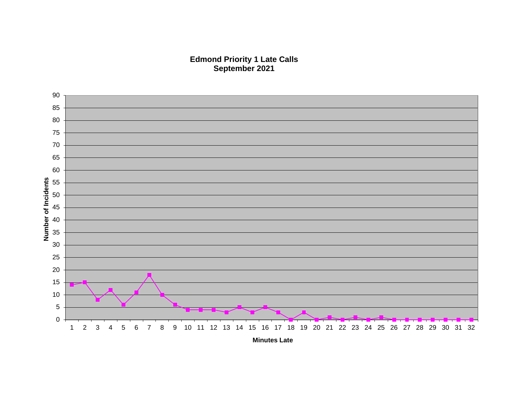#### **Edmond Priority 1 Late Calls September 2021**

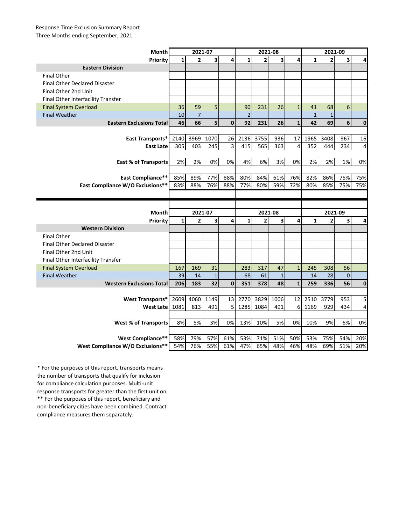#### Response Time Exclusion Summary Report Three Months ending September, 2021

| Month                                |              | 2021-07        |                         |              |                | 2021-08        |              |              |              | 2021-09        |           |                |
|--------------------------------------|--------------|----------------|-------------------------|--------------|----------------|----------------|--------------|--------------|--------------|----------------|-----------|----------------|
| Priority                             | $\mathbf{1}$ | $\overline{2}$ | $\overline{\mathbf{3}}$ | 4            | $\mathbf{1}$   | $\overline{2}$ | 3            | 4            | $\mathbf{1}$ | $\overline{2}$ | 3         | 4              |
| <b>Eastern Division</b>              |              |                |                         |              |                |                |              |              |              |                |           |                |
| <b>Final Other</b>                   |              |                |                         |              |                |                |              |              |              |                |           |                |
| <b>Final Other Declared Disaster</b> |              |                |                         |              |                |                |              |              |              |                |           |                |
| Final Other 2nd Unit                 |              |                |                         |              |                |                |              |              |              |                |           |                |
| Final Other Interfacility Transfer   |              |                |                         |              |                |                |              |              |              |                |           |                |
| <b>Final System Overload</b>         | 36           | 59             | 5                       |              | 90             | 231            | 26           | $\mathbf{1}$ | 41           | 68             | 6         |                |
| <b>Final Weather</b>                 | 10           | $\overline{7}$ |                         |              | $\overline{2}$ |                |              |              | $\mathbf 1$  | $\mathbf{1}$   |           |                |
| <b>Eastern Exclusions Total</b>      | 46           | 66             | 5 <sup>1</sup>          | $\mathbf{0}$ | 92             | 231            | 26           | $\mathbf{1}$ | 42           | 69             | 6         | $\mathbf{0}$   |
|                                      |              |                |                         |              |                |                |              |              |              |                |           |                |
| East Transports*                     | 2140         | 3969           | 1070                    | 26           | 2136           | 3755           | 936          | 17           | 1965         | 3408           | 967       | 16             |
| <b>East Late</b>                     | 305          | 403            | 245                     | 3            | 415            | 565            | 363          | 4            | 352          | 444            | 234       | $\overline{4}$ |
|                                      |              |                |                         |              |                |                |              |              |              |                |           |                |
| <b>East % of Transports</b>          | 2%           | 2%             | 0%                      | 0%           | 4%             | 6%             | 3%           | 0%           | 2%           | 2%             | 1%        | 0%             |
|                                      |              |                |                         |              |                |                |              |              |              |                |           |                |
| <b>East Compliance**</b>             | 85%          | 89%            | 77%                     | 88%          | 80%            | 84%            | 61%          | 76%          | 82%          | 86%            | 75%       | 75%            |
| East Compliance W/O Exclusions**     | 83%          | 88%            | 76%                     | 88%          | 77%            | 80%            | 59%          | 72%          | 80%          | 85%            | 75%       | 75%            |
|                                      |              |                |                         |              |                |                |              |              |              |                |           |                |
|                                      |              |                |                         |              |                |                |              |              |              |                |           |                |
|                                      |              |                |                         |              |                |                |              |              |              |                |           |                |
| Month                                |              | 2021-07        |                         |              |                | 2021-08        |              |              |              | 2021-09        |           |                |
| Priority                             | $\mathbf{1}$ | $\overline{2}$ | 3                       | 4            | $\mathbf{1}$   | $\overline{2}$ | 3            | 4            | $\mathbf{1}$ | $\overline{2}$ | 3         | 4              |
| <b>Western Division</b>              |              |                |                         |              |                |                |              |              |              |                |           |                |
| <b>Final Other</b>                   |              |                |                         |              |                |                |              |              |              |                |           |                |
| <b>Final Other Declared Disaster</b> |              |                |                         |              |                |                |              |              |              |                |           |                |
| Final Other 2nd Unit                 |              |                |                         |              |                |                |              |              |              |                |           |                |
| Final Other Interfacility Transfer   |              |                |                         |              |                |                |              |              |              |                |           |                |
| <b>Final System Overload</b>         | 167          | 169            | 31                      |              | 283            | 317            | 47           | $\mathbf{1}$ | 245          | 308            | 56        |                |
| <b>Final Weather</b>                 | 39           | 14             | $\mathbf{1}$            |              | 68             | 61             | $\mathbf{1}$ |              | 14           | 28             | $\pmb{0}$ |                |
| <b>Western Exclusions Total</b>      | 206          | 183            | 32                      | $\mathbf 0$  | 351            | 378            | 48           | $\mathbf{1}$ | 259          | 336            | 56        | $\mathbf 0$    |
|                                      |              |                |                         |              |                |                |              |              |              |                |           |                |
| <b>West Transports*</b>              | 2609         | 4060           | 1149                    | 13           | 2770           | 3829           | 1006         | 12           | 2510         | 3779           | 953       | 5              |
| West Latel                           | 1081         | 813            | 491                     | 5            | 1285           | 1084           | 491          | 6            | 1169         | 929            | 434       | 4              |
|                                      |              |                |                         |              |                |                |              |              |              |                |           |                |
| <b>West % of Transports</b>          | 8%           | 5%             | 3%                      | 0%           | 13%            | 10%            | 5%           | 0%           | 10%          | 9%             | 6%        | 0%             |
|                                      |              |                |                         |              |                |                |              |              |              |                |           |                |
| West Compliance**                    | 58%          | 79%            | 57%                     | 61%          | 53%            | 71%            | 51%          | 50%          | 53%          | 75%            | 54%       | 20%            |

\*\* For the purposes of this report, beneficiary and non-beneficiary cities have been combined. Contract compliance measures them separately. \* For the purposes of this report, transports means the number of transports that qualify for inclusion for compliance calculation purposes. Multi-unit response transports for greater than the first unit on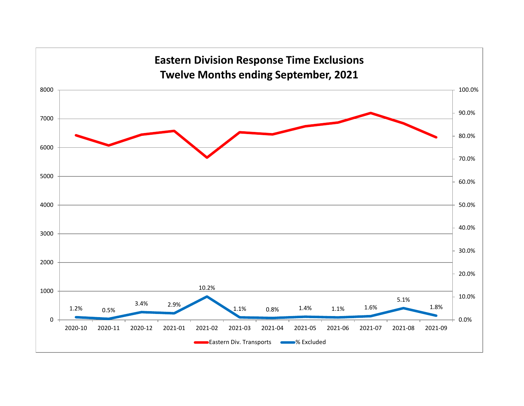